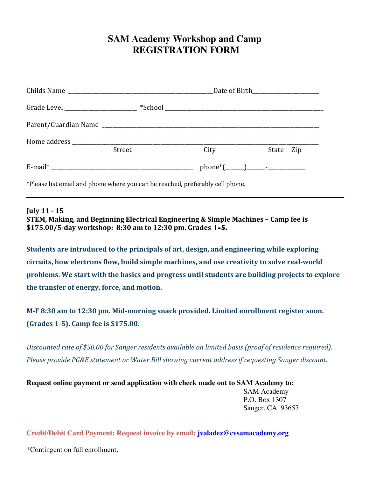## **SAM Academy Workshop and Camp REGISTRATION FORM**

| Grade Level _________________________ |        |      |           |
|---------------------------------------|--------|------|-----------|
|                                       |        |      |           |
|                                       | Street | City | State Zip |
|                                       |        |      |           |

\*Please list email and phone where you can be reached, preferably cell phone.

**July 11 - 15**

**STEM, Making, and Beginning Electrical Engineering & Simple Machines – Camp fee is \$175.00/5-day workshop: 8:30 am to 12:30 pm. Grades 1-5.** 

**Students are introduced to the principals of art, design, and engineering while exploring** circuits, how electrons flow, build simple machines, and use creativity to solve real-world problems. We start with the basics and progress until students are building projects to explore **the transfer of energy, force, and motion.** 

M-F 8:30 am to 12:30 pm. Mid-morning snack provided. Limited enrollment register soon. **(Grades 1-5). Camp fee is \$175.00.** 

*Discounted rate of* \$50.00 for Sanger residents available on limited basis (proof of residence required). *Please provide PG&E statement or Water Bill showing current address if requesting Sanger discount.* 

**Request online payment or send application with check made out to SAM Academy to:**  SAM Academy P.O. Box 1307 Sanger, CA 93657

**Credit/Debit Card Payment: Request invoice by email: jvaladez@cvsamacademy.org**

\*Contingent on full enrollment.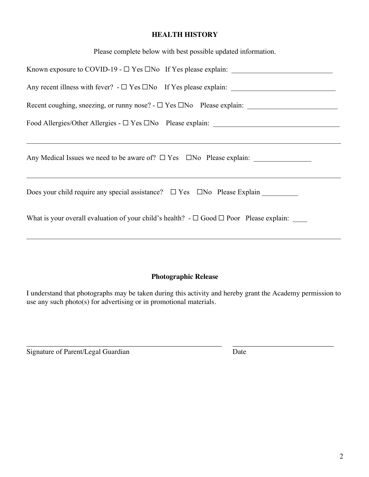## **HEALTH HISTORY**

| Please complete below with best possible updated information. |  |  |
|---------------------------------------------------------------|--|--|
|                                                               |  |  |

| Any Medical Issues we need to be aware of? □ Yes □No Please explain: ___________                       |
|--------------------------------------------------------------------------------------------------------|
|                                                                                                        |
| What is your overall evaluation of your child's health? $-\square$ Good $\square$ Poor Please explain: |
|                                                                                                        |

## **Photographic Release**

I understand that photographs may be taken during this activity and hereby grant the Academy permission to use any such photo(s) for advertising or in promotional materials.

\_\_\_\_\_\_\_\_\_\_\_\_\_\_\_\_\_\_\_\_\_\_\_\_\_\_\_\_\_\_\_\_\_\_\_\_\_\_\_\_\_\_\_\_\_\_\_\_\_\_\_\_\_\_ \_\_\_\_\_\_\_\_\_\_\_\_\_\_\_\_\_\_\_\_\_\_\_\_\_\_\_\_ Signature of Parent/Legal Guardian Date